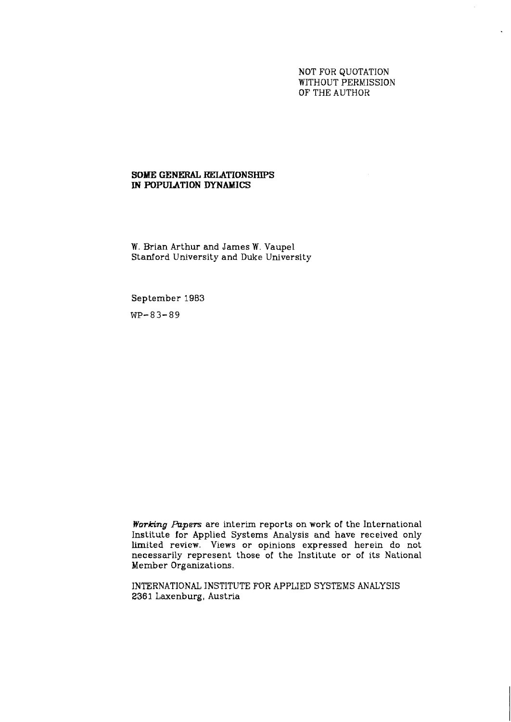# NOT FOR QUOTATION WITHOUT PERMISSION OF THE AUTHOR

# **SOME GENERAL KELATIONSHIPS IN POPULATION DYNAMICS**

W. Brian Arthur and James W. Vaupel Stanford University and Duke University

September 1983

**WP-83-89** 

**Working** *Papers* are interim reports on work of the International Institute for Applied Systems Analysis and have received only limited review. Views or opinions expressed herein do not necessarily represent those of the Institute or of its National Member Organizations.

INTERNATIONAL INSTITUTE FOR APPLIED SYSTEMS ANALYSIS 2361 Laxenburg, Austria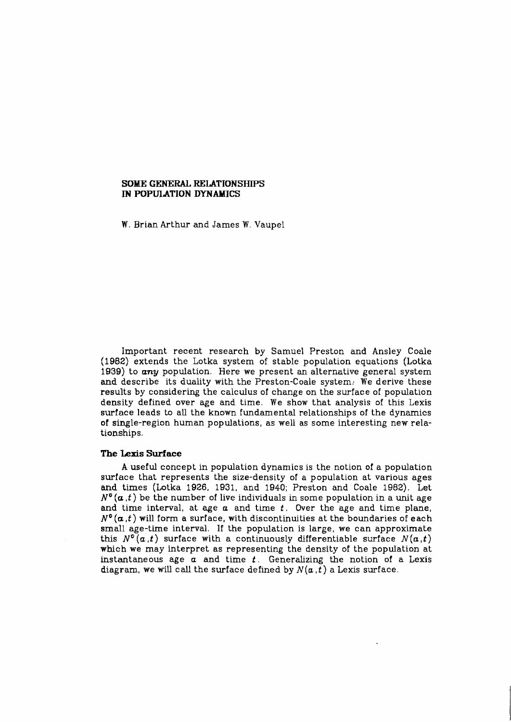### **SOME GENERAL RELATIONSHIPS IN POPULATION DYNAMICS**

W. Brian Arthur and James W. Vaupel

Important recent research by Samuel Preston and Ansley Coale **(1982)** extends the Lotka system of stable population equations (Lotka **1939)** to **any** population. Here we present an alternative general system and describe its duality with the Preston-Coale system. We derive these results by considering the calculus of change on the surface of population density defined over age and time. We show that analysis of this Lexis surface leads to all the known fundamental relationships of the dynamics of single-region human populations, as well as some interesting new relationships.

### **The Lexis Surface**

**A** useful concept in population dynamics is the notion of a population surface that represents the size-density of a population at various ages and times (Lotka **1926, 1931,** and **1940;** Preston and Coale **1982).** Let  $N^{\circ}(\alpha,t)$  be the number of live individuals in some population in a unit age and time interval, at age a and time **f.** Over the age and time plane,  $N^{\circ}(\alpha, t)$  will form a surface, with discontinuities at the boundaries of each small age-time interval. If the population is large, we can approximate this  $N^{\circ}(\alpha, t)$  surface with a continuously differentiable surface  $N(\alpha, t)$ which we may interpret as representing the density of the population at instantaneous age **a** and time **t.** Generahzing the notion of a Lexis diagram, we will call the surface defined by  $N(a, t)$  a Lexis surface.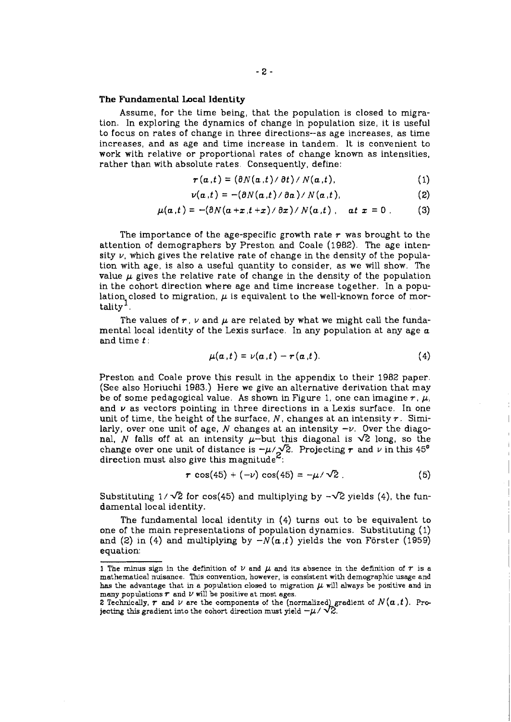#### The Fundamental Local Identity

Assume, for the time being, that the population is closed to migration. In exploring the dynamics of change in population size, it is useful to focus on rates of change in three directions--as age increases, as time increases, and as age and time increase in tandem. It is convenient to work with relative or proportional rates of change known as intensities, rather than with absolute rates. Consequently, define:

$$
\boldsymbol{r}(\boldsymbol{a},t) = (\partial N(\boldsymbol{a},t)/\partial t)/N(\boldsymbol{a},t), \qquad (1)
$$

$$
\nu(a,t) = -(\partial N(a,t)/\partial a)/N(a,t), \qquad (2)
$$

$$
\mu(\alpha,t) = -(\partial N(\alpha+x,t+x)/\partial x)/N(\alpha,t), \quad \alpha t \ge 0. \tag{3}
$$

The importance of the age-specific growth rate  $r$  was brought to the attention of demographers by Preston and Coale (1982). The age intensity  $\nu$ , which gives the relative rate of change in the density of the population with age, is also a useful quantity to consider, as we will show. The value  $\mu$  gives the relative rate of change in the density of the population in the cohort direction where age and time increase together. In a population closed to migration,  $\mu$  is equivalent to the well-known force of mortality'.

The values of  $r$ ,  $\nu$  and  $\mu$  are related by what we might call the fundamental local identity of the Lexis surface. In any population at any age  $a$ and time  $t$  :

$$
\mu(a,t)=\nu(a,t)-r(a,t). \qquad (4)
$$

Preston and Coale prove this result in the appendix to their 1982 paper. (See also Horiuchi 1983.) Here we give an alternative derivation that may be of some pedagogical value. As shown in Figure 1, one can imagine  $r$ ,  $\mu$ , and  $\nu$  as vectors pointing in three directions in a Lexis surface. In one unit of time, the height of the surface, **N,** changes at an intensity r. Similarly, over one unit of age, N changes at an intensity  $-v$ . Over the diagonal, N falls off at an intensity  $\mu$ -but this diagonal is  $\sqrt{2}$  long, so the change over one unit of distance is  $-\mu/\sqrt{2}$ . Projecting r and v in this 45<sup>°</sup> direction must also give this magnitude<sup> $\epsilon$ </sup>:

$$
r \cos(45) + (-\nu) \cos(45) = -\mu/\sqrt{2} \tag{5}
$$

Substituting  $1/\sqrt{2}$  for cos(45) and multiplying by  $-\sqrt{2}$  yields (4), the fundamental local identity.

The fundamental local identity in (4) turns out to be equivalent to one of the main representations of population dynamics. Substituting (1) and (2) in (4) and multiplying by  $-N(a,t)$  yields the von Förster (1959) equation:

**<sup>1</sup>** The minus sign in the definition of  $\nu$  and  $\mu$  and its absence in the definition of  $r$  is a mathematical nuisance. This convention, however, is consistent with demographic usage and has the advantage that in a population closed to migration  $\mu$  will always be positive and in many populations  $r$  and  $\nu$  will be positive at most ages.

<sup>2</sup> Technically,  $\tau$  and  $\nu$  are the components of the (normalized) gradient of  $N(\alpha, t)$ . Projecting this gradient into the cohort direction must yield  $-\mu / \sqrt{2}$ .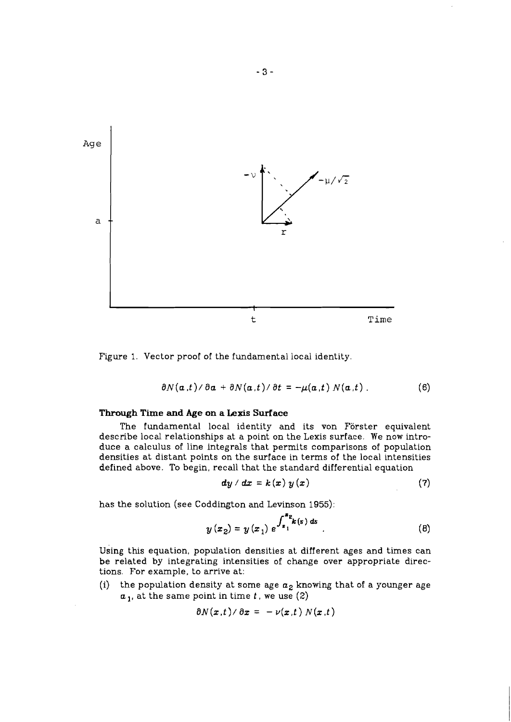

Figure 1. Vector proof of the fundamental local identity.

$$
\partial N(a,t)/\partial a + \partial N(a,t)/\partial t = -\mu(a,t) N(a,t) \tag{6}
$$

# **Through Time and Age on a Lexis Surface**

The fundamental local identity and its von Förster equivalent describe local relationships at a point on the Lexis surface. We now introduce a calculus of line integrals that permits comparisons of population densities at distant points on the surface in terms of the local intensities defined above. To begin, recall that the standard differential equation

$$
dy/dx = k(x) y(x)
$$
 (7)

has the solution (see Coddington and Levinson 1955):

$$
y(x_2) = y(x_1) e^{\int_{x_1}^{x_2} k(s) ds}.
$$
 (8)

Using this equation, population densities at different ages and times can be related by integrating intensities of change over appropriate directions. For example, to arrive at:

(i) the population density at some age  $a_2$  knowing that of a younger age  $a_1$ , at the same point in time t, we use (2)

$$
\partial N(x,t)/\partial x = -\nu(x,t) N(x,t)
$$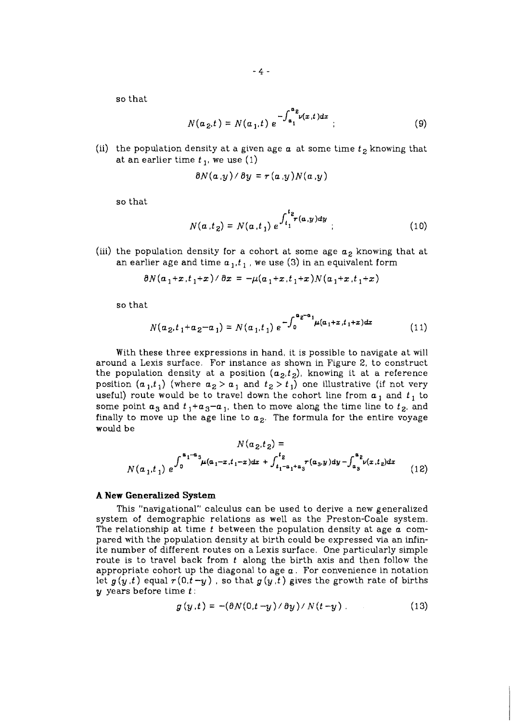so that

$$
N(a_{2},t) = N(a_{1},t) e^{-\int_{a_{1}}^{a_{2}} v(x,t)dx};
$$
\n(9)

(ii) the population density at a given age  $\alpha$  at some time  $t_2$  knowing that at an earlier time  $t<sub>1</sub>$ , we use (1)

$$
\partial N(a,y)/\partial y = r(a,y)N(a,y)
$$

so that

$$
N(a,t_2) = N(a,t_1) e^{\int_{t_1}^{t_2} \tau(a,y) dy} ; \qquad (10)
$$

(iii) the population density for a cohort at some age  $a_2$  knowing that at an earlier age and time  $a_1, t_1$ , we use (3) in an equivalent form

$$
\partial N(a_1+x,t_1+x)/\partial x = -\mu(a_1+x,t_1+x)N(a_1+x,t_1+x)
$$

so that

$$
N(a_2, t_1 + a_2 - a_1) = N(a_1, t_1) e^{-\int_0^a e^{-a_1} \mu(a_1 + x, t_1 + x) dx}
$$
 (11)

With these three expressions in hand, it is possible to navigate at will around a Lexis surface. For instance as shown in Figure 2, to construct the population density at a position  $(a_2,t_2)$ , knowing it at a reference position  $(a_1,t_1)$  (where  $a_2 > a_1$  and  $t_2 > t_1$ ) one illustrative (if not very useful) route would be to travel down the cohort line from  $a_1$  and  $t_1$  to some point  $a_3$  and  $t_1+a_3-a_1$ , then to move along the time line to  $t_2$ , and finally to move up the age line to  $a_2$ . The formula for the entire voyage would be

> $\mathbf{r}$ **Contract**

$$
N(a_2, t_2) =
$$
  

$$
N(a_1, t_1) e^{\int_0^{\alpha_1 - \alpha_3} \mu(a_1 - x, t_1 - x) dx + \int_{t_1 - \alpha_1 + \alpha_3}^{t_2} r(a_3, y) dy - \int_{\alpha_3}^{\alpha_2} \nu(x, t_2) dx}
$$
 (12)

#### **A New Generalized System**

This "navigational" calculus can be used to derive a new generalized system of demographic relations as well as the Preston-Coale system. The relationship at time  $t$  between the population density at age  $a$  compared with the population density at birth could be expressed via an infinite number of different routes on a Lexis surface. One particularly simple route is to travel back from  $t$  along the birth axis and then follow the appropriate cohort up the diagonal to age  $a$ . For convenience in notation let  $g(y,t)$  equal  $r(0,t-y)$ , so that  $g(y,t)$  gives the growth rate of births  $y$  years before time  $t$ :

$$
g(y,t) = -(\partial N(0,t-y)/\partial y)/N(t-y)
$$
 (13)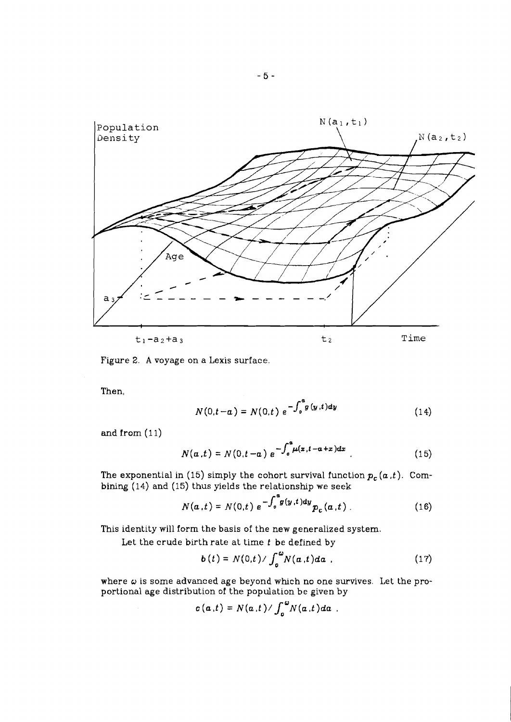

Figure 2. **A** voyage on a Lexis surface.

Then,

$$
N(0,t-a) = N(0,t) e^{-\int_0^a g(y,t)dy}
$$
 (14)

and from  $(11)$ 

$$
N(a,t) = N(0,t-a) e^{-\int_0^a \mu(x,t-a+x)dx}
$$
 (15)

The exponential in (15) simply the cohort survival function  $p_c(a,t)$ . Combining (14) and (15) thus yields the relationship we seek

$$
N(a,t) = N(0,t) e^{-\int_0^{\infty} g(y,t) dy} p_c(a,t) \tag{16}
$$

This identity will form the basis of the new generalized system.

Let the crude birth rate at time *t* be defined by

$$
b(t) = N(0,t) / \int_0^{\omega} N(a,t) da
$$
 (17)

where **w** is some advanced age beyond whch no one survives. Let the proportional age distribution of the population be given by

$$
c(\boldsymbol{a},t)=N(\boldsymbol{a},t)/\int_{0}^{\omega}N(\boldsymbol{a},t)d\boldsymbol{a}.
$$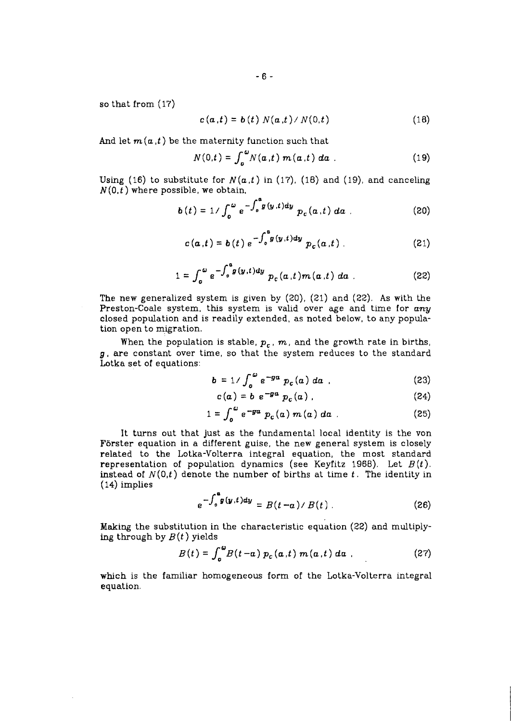so that from *(17)* 

$$
c(\alpha,t) = b(t) N(\alpha,t) / N(0,t)
$$
 (18)

And let  $m(a,t)$  be the maternity function such that

$$
N(0,t) = \int_{0}^{\omega} N(\alpha,t) m(\alpha,t) d\alpha
$$
 (19)

Using (16) to substitute for  $N(a,t)$  in (17), (18) and (19), and canceling *N(0,t)* where possible, we obtain,

$$
b(t) = 1/\int_0^\omega e^{-\int_0^a g(y,t)dy} p_c(a,t) da
$$
 (20)

$$
c(a,t) = b(t) e^{-\int_0^a g(y,t)dy} p_c(a,t)
$$
 (21)

$$
1 = \int_0^{\omega} e^{-\int_0^a g(y,t)dy} p_c(a,t) m(a,t) da
$$
 (22)

The new generalized system is given by *(20), (21)* and *(22).* As with the Preston-Coale system, ths system is valid over age and time for *any*  closed population and is readily extended, as noted below, to any population open to migration.

When the population is stable,  $p_c$ ,  $m$ , and the growth rate in births, **g,** are constant over time, so that the system reduces to the standard Lotka set of equations:

$$
b = 1/\int_{o}^{\omega} e^{-ga} p_c(a) da
$$
 (23)

$$
c(a) = b e^{-ga} p_c(a) . \qquad (24)
$$

$$
1 = \int_0^{\omega} e^{-g a} p_c(a) m(a) da
$$
 (25)

It turns out that just as the fundamental local identity is the von Forster equation in a different guise, the new general system is closely related to the Lotka-Volterra integral equation, the most standard representation of population dynamics (see Keyfitz 1968). Let  $B(t)$ . instead of  $N(0,t)$  denote the number of births at time  $t$ . The identity in (14) implies

$$
e^{-\int_0^a g(y,t)dy} = B(t-a)/B(t) \qquad (26)
$$

**Making** the substitution in the characteristic equation *(22)* and multiplying through by  $B(t)$  yields

$$
B(t) = \int_0^{\omega} B(t-a) p_c(a,t) m(a,t) da
$$
 (27)

which is the familiar homogeneous form of the Lotka-Volterra integral equation.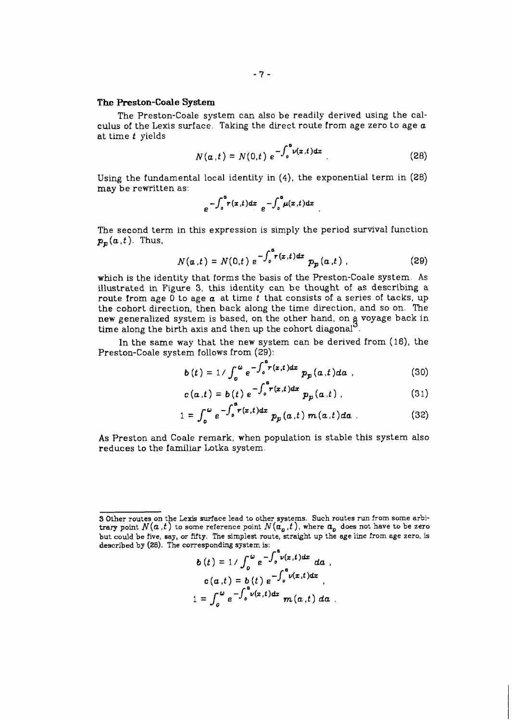### **The Preston-Coale System**

The Preston-Coale system can also be readily derived using the calculus of the Lexis surface. Taking the direct route from age zero to age **a**  at time **t** yields

$$
N(\boldsymbol{a},t) = N(0,t) e^{-\int_0^{\boldsymbol{a}} \nu(\boldsymbol{x},t) d\boldsymbol{x}}.
$$
 (28)

Using the fundamental local identity in **(4),** the exponential term in **(28)**  may be rewritten as:

$$
e^{-\int_0^a r(x,t)dx} e^{-\int_0^a \mu(x,t)dx}
$$

The second term in this expression is simply the period survival function  $p_p(a,t)$ . Thus,

$$
N(a,t) = N(0,t) e^{-\int_0^a r(x,t)dx} p_p(a,t) ,
$$
 (29)

which is the identity that forms the basis of the Preston-Coale system. As illustrated in Figure 3, this identity can be thought of as describing a route from age 0 to age **a** at time **t** that consists of a series of tacks, up the cohort direction, then back along the time direction, and so on. The new generalized system is based, on the other hand, on **9** voyage back in time along the birth axis and then up the cohort diagonal<sup>3</sup>.

In the same way that the new system can be derived from **(16),** the Preston-Coale system follows from (29): iysti<br>?9):<br>-• rí:

$$
b(t) = 1/\int_0^{\omega} e^{-\int_0^a r(x,t)dx} p_p(a,t)da \qquad (30)
$$

$$
c(a,t) = b(t) e^{-\int_0^a r(x,t)dx} p_p(a,t) \qquad (31)
$$

$$
1 = \int_0^{\omega} e^{-\int_0^{\tau} r(x,t)dx} p_p(a,t) m(a,t)da
$$
 (32)

As Preston and Coale remark, when population is stable this system also reduces to the familiar Lotka system.

$$
b(t) = 1/\int_0^{\omega} e^{-\int_0^{\tau} v(x,t)dx} da
$$
  
\n
$$
c(a,t) = b(t) e^{-\int_0^a v(x,t)dx}
$$
  
\n
$$
1 = \int_0^{\omega} e^{-\int_0^a v(x,t)dx} m(a,t) da
$$

**<sup>9</sup>** Other routes on the Lexis surface lead to other systems. Such routes run from some arbitrary point  $N(a, t)$  to some reference point  $N(\bar{a}_o, t)$ , where  $\bar{a}_o$  does not have to be zero but could be five, say, or fifty. The simplest route, straight up the age line from age zero, is described by (28). The corresponding system is: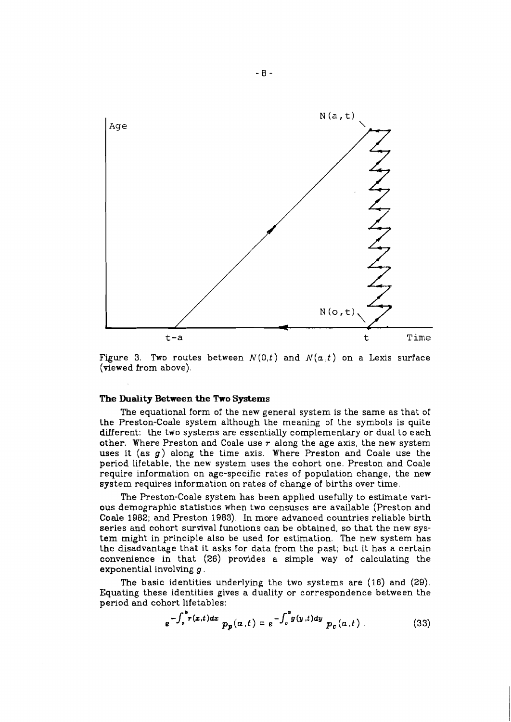

Figure 3. Two routes between  $N(0,t)$  and  $N(a,t)$  on a Lexis surface (viewed from above),

### The **Duality Between** the **Two** Systems

The equational form of the new general system is the same as that of the Preston-Coale system although the meaning of the symbols is quite different: the two systems are essentially complementary or dual to each other. Where Preston and Coale use  $r$  along the age axis, the new system uses it (as **g)** along the time axis. Where Preston and Coale use the period lifetable, the new system uses the cohort one. Preston and Coale require information on age-specific rates of population change, the new system requires information on rates of change of births over time.

The Preston-Coale system has been applied usefully to estimate various demographic statistics when two censuses are available (Preston and Coale 1982; and Preston 1983). In more advanced countries reliable birth series and cohort survival functions can be obtained, so that the new system might in principle also be used for estimation. The new system has the disadvantage that it asks for data from the past; but it has a certain convenience in that (26) provides a simple way of calculating the exponential involving  $g$ .

The basic identities underlying the two systems are  $(16)$  and  $(29)$ . Equating these identities gives a duality or correspondence between the period and cohort lifetables:

$$
e^{-\int_0^a r(z,t)dz} p_p(a,t) = e^{-\int_0^a g(y,t)dy} p_c(a,t) \qquad (33)
$$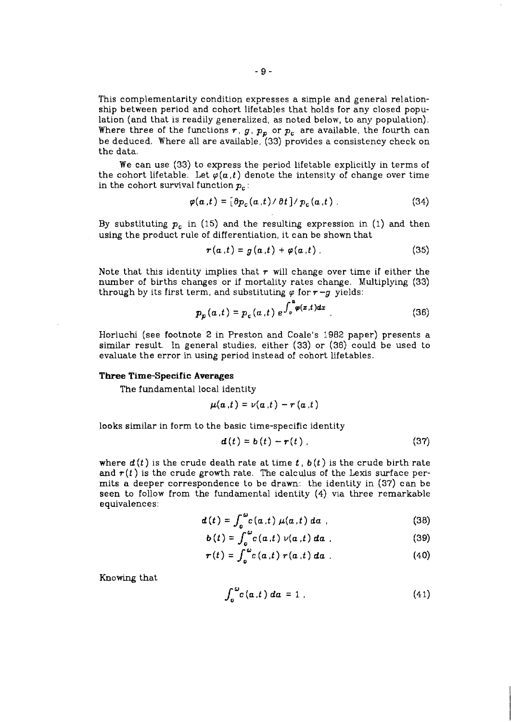This complementarity condition expresses a simple and general relationship between period and cohort lifetables that holds for any closed population (and that is readily generalized, as noted below, to any population). Where three of the functions  $r$ ,  $g$ ,  $p_p$  or  $p_c$  are available, the fourth can be deduced. Where all are available, *(33)* provides a consistency check on the data.

We can use *(33)* to express the period lifetable explicitly in terms of the cohort lifetable. Let  $\varphi(a,t)$  denote the intensity of change over time in the cohort survival function *p,* :

$$
\varphi(\mathbf{a},t) = [\partial p_c(\mathbf{a},t)/\partial t]/p_c(\mathbf{a},t) \tag{34}
$$

By substituting *p,* in *(15)* and the resulting expression in *(1)* and then using the product rule of differentiation, it can be shown that

$$
r(a,t) = g(a,t) + \varphi(a,t) \tag{35}
$$

Note that this identity implies that  $r$  will change over time if either the number of births changes or if mortality rates change. Multiplying *(33)*  through by its first term, and substituting  $\varphi$  for  $r - g$  yields:

$$
p_p(a,t) = p_c(a,t) e^{\int_0^a \varphi(x,t)dx}.
$$
 (36)

Horiuchi (see footnote 2 in Preston and Coale's **I982** paper) presents a similar result. In general studies, either *(33)* or *(36)* could be used to evaluate the error in using period instead of cohort lifetables.

#### **Three Time-Specific Averages**

The fundamental local identity

$$
\mu(a,t)=\nu(a,t)-r(a,t)
$$

looks similar in form to the basic time-specific identity

$$
\mathbf{d}(t) = \mathbf{b}(t) - \mathbf{r}(t) \tag{37}
$$

where  $d(t)$  is the crude death rate at time  $t$ ,  $b(t)$  is the crude birth rate and  $r(t)$  is the crude growth rate. The calculus of the Lexis surface permits a deeper correspondence to be drawn: the identity in (37) can be seen to follow from the fundamental identity *(4)* via three remarkable equivalences :

$$
d(t) = \int_{a}^{\omega} c(a,t) \mu(a,t) da
$$
 (38)

$$
b(t) = \int_{a}^{\omega} c(a,t) \nu(a,t) da
$$
 (39)

$$
\boldsymbol{r}(t) = \int_{0}^{\omega} c(a,t) \boldsymbol{r}(a,t) da \qquad (40)
$$

Knowing that

$$
\int_0^{\omega} c(a,t) \, da = 1 \tag{41}
$$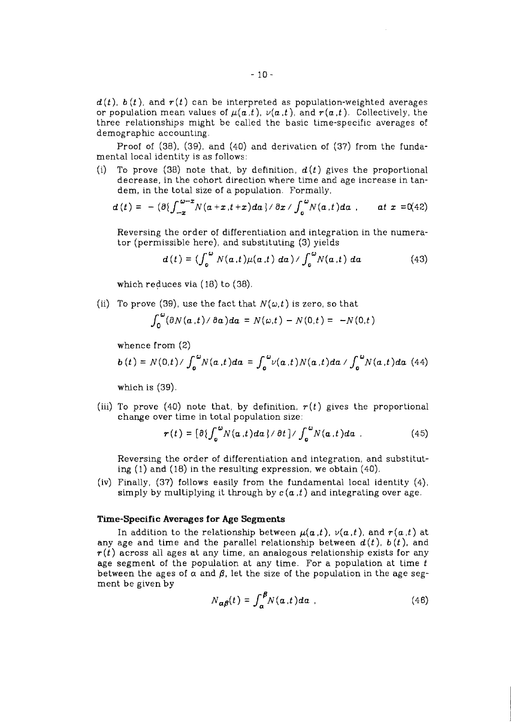$d(t)$ ,  $b(t)$ , and  $r(t)$  can be interpreted as population-weighted averages or population mean values of  $\mu(a, t)$ ,  $\nu(a, t)$ , and  $r(a, t)$ . Collectively, the three relationshps might be called the basic time-specific averages of demographic accounting.

Proof of (38), (39), and (40) and derivaticn of (37) from the fundamental local identity is as follows:

(i) To prove (38) note that, by definition,  $d(t)$  gives the proportional decrease, in the cohort direction where time and age increase in tandem, in the total size of a population. Formally,

$$
d(t) = -(\partial \{\int_{-\pi}^{\omega - x} N(a+x,t+x) da\}/ \partial x / \int_{0}^{\omega} N(a,t) da , \quad at \ x = 0.42)
$$

Reversing the order of differentiation and integration in the numerator (permissible here), and substituting (3) yields

$$
d(t) = \left(\int_0^{\omega} N(a,t)\mu(a,t) da\right) / \int_0^{\omega} N(a,t) da \qquad (43)
$$

which reduces via (18) to (38).

(ii) To prove (39), use the fact that  $N(\omega,t)$  is zero, so that

$$
\int_0^\omega (\partial N(a,t)/\partial a)da = N(\omega,t) - N(0,t) = -N(0,t)
$$

whence from (2)

$$
b(t) = N(0,t) / \int_0^{\omega} N(a,t) da = \int_0^{\omega} \nu(a,t) N(a,t) da / \int_0^{\omega} N(a,t) da
$$
 (44)

which is  $(39)$ .

(iii) To prove (40) note that, by definition,  $r(t)$  gives the proportional change over time in total population size:

$$
\boldsymbol{r}(t) = \left[\partial \left\{\int_{0}^{\omega} N(a,t) da\right\} / \partial t\right] / \int_{0}^{\omega} N(a,t) da
$$
 (45)

Reversing the order of differentiation and integration, and substituting (1) and (18) in the resulting expression, we obtain (40).

(iv) Finally, (37) follows easily from the fundamental local identity (4), simply by multiplying it through by  $c(a, t)$  and integrating over age.

### **Time-Specific Averages for Age Segments**

In addition to the relationship between  $\mu(a,t)$ ,  $\nu(a,t)$ , and  $r(a,t)$  at any age and time and the parallel relationship between  $d(t)$ ,  $b(t)$ , and  $r(t)$  across all ages at any time, an analogous relationship exists for any age segment of the population at any time. For a population at time  $t$ between the ages of  $\alpha$  and  $\beta$ , let the size of the population in the age segment be given by

$$
N_{\alpha\beta}(t) = \int_{\alpha}^{\beta} N(\alpha, t) d\alpha \tag{46}
$$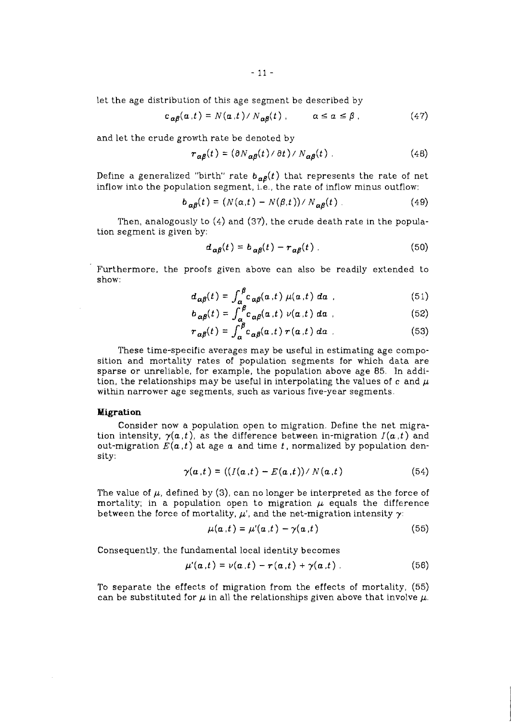let the age distribution of this age segment be described by

$$
c_{\alpha\beta}(\alpha,t) = N(\alpha,t) / N_{\alpha\beta}(t) , \qquad \alpha \le \alpha \le \beta , \qquad (47)
$$

and let the crude growth rate be denoted by

$$
r_{\alpha\beta}(t) = (\partial N_{\alpha\beta}(t) / \partial t) / N_{\alpha\beta}(t)
$$
 (48)

Define a generalized "birth" rate  $b_{\alpha\beta}(t)$  that represents the rate of net inflow into the population segment, i.e., the rate of inflow minus outflow:

$$
b_{\alpha\beta}(t) = (N(\alpha,t) - N(\beta,t))/N_{\alpha\beta}(t) \tag{49}
$$

Then, analogously to *(4)* and *(37),* the crude death rate in the population segment is given by:

$$
d_{\alpha\beta}(t) = b_{\alpha\beta}(t) - r_{\alpha\beta}(t) \tag{50}
$$

Furthermore, the proofs given above can also be readily extended to show:

$$
d_{\alpha\beta}(t) = \int_{\alpha_{\alpha}}^{\beta} c_{\alpha\beta}(\alpha, t) \mu(\alpha, t) \, d\alpha \quad . \tag{51}
$$

$$
b_{\alpha\beta}(t) = \int_{\alpha}^{\beta} c_{\alpha\beta}(a,t) \nu(a,t) da \qquad (52)
$$

$$
r_{\alpha\beta}(t) = \int_{\alpha}^{\beta} c_{\alpha\beta}(a \cdot t) \, r(a \cdot t) \, da \tag{53}
$$

These time-specific averages may be useful in estimating age composition and mortality rates of population segments for which data are sparse or unreliable, for example, the population above age *85.* In addition, the relationships may be useful in interpolating the values of  $c$  and  $\mu$ within narrower age segments, such as various five-year segments.

### **Migration**

Consider now a population open to migration. Define the net migration intensity,  $\gamma(a,t)$ , as the difference between in-migration  $I(a,t)$  and out-migration  $E(a, t)$  at age  $a$  and time  $t$ , normalized by population density:

$$
\gamma(\boldsymbol{a},t) = ((I(\boldsymbol{a},t) - E(\boldsymbol{a},t))/N(\boldsymbol{a},t) \qquad (54)
$$

The value of  $\mu$ , defined by (3), can no longer be interpreted as the force of mortality; in a population open to migration  $\mu$  equals the difference between the force of mortality,  $\mu'$ , and the net-migration intensity  $\gamma$ :

$$
\mu(\alpha, t) = \mu'(\alpha, t) - \gamma(\alpha, t) \tag{55}
$$

Consequently, the fundamental local identity becomes

$$
\mu'(\alpha,t)=\nu(\alpha,t)-r(\alpha,t)+\gamma(\alpha,t) \ . \qquad (56)
$$

To separate the effects of migration from the effects of mortality, *(55)*  can be substituted for  $\mu$  in all the relationships given above that involve  $\mu$ .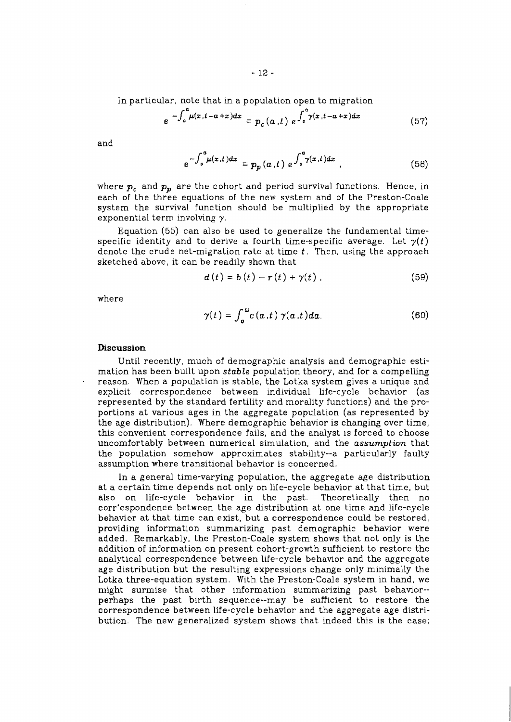In particular, note that in a population open to migration

$$
e^{-\int_{0}^{a} \mu(x, t-a+x)dx} = p_c(a,t) e^{-\int_{0}^{a} \gamma(x, t-a+x)dx}
$$
 (57)

and

$$
e^{-\int_{o}^{a} \mu(x,t)dx} = p_p(a,t) e^{\int_{o}^{a} \gamma(x,t)dx} \qquad (58)
$$

where  $p_c$  and  $p_p$  are the cohort and period survival functions. Hence, in each of the three equations of the new system and of the Preston-Coale system the survival function should be multiplied by the appropriate exponential term involving  $\gamma$ .

Equation (55) can also be used to generalize the fundamental timespecific identity and to derive a fourth time-specific average. Let  $\gamma(t)$ denote the crude net-migration rate at time  $t$ . Then, using the approach sketched above, it can be readily shown that

$$
\mathbf{d}\left(t\right) = \mathbf{b}\left(t\right) - \mathbf{r}\left(t\right) + \gamma\left(t\right) \tag{59}
$$

where

$$
\gamma(t) = \int_0^{\omega} c(a,t) \gamma(a,t) da. \tag{60}
$$

### **Discussion**

Until recently, much of demographic analysis and demographic estimation has been built upon stable population theory, and for a compelling reason. When a population is stable, the Lotka system gives a unique and explicit correspondence between individual life-cycle behavior (as represented by the standard fertility and morality functions) and the proportions at various ages in the aggregate population (as represented by the age distribution). Where demographic behavior is changing over time, this convenient correspondence fails, and the analyst is forced to choose uncomfortably between numerical simulation, and the assumption that the population somehow approximates stability--a particularly faulty assumption where transitional behavior is concerned.

In a general time-varying population, the aggregate age distribution at a certain time depends not only on life-cycle behavior at that time, but also on life-cycle behavior in the past. Theoretically then no corr'espondence between the age distribution at one time and life-cycle behavior at that time can exist, but a correspondence could be restored, providing information summarizing past demographic behavior were added. Remarkably, the Preston-Coale system shows that not only is the addition of information on present cohort-growth sufficient to restore the analytical correspondence between life-cycle behavior and the aggregate age distribution but the resulting expressions change only minimally the Lotka three-equation system. With the Preston-Coale system in hand, we might surmise that other information summarizing past behavior- perhaps the past birth sequence--may be sufficient to restore the correspondence between life-cycle behavior and the aggregate age distribution. The new generalized system shows that indeed this is the case;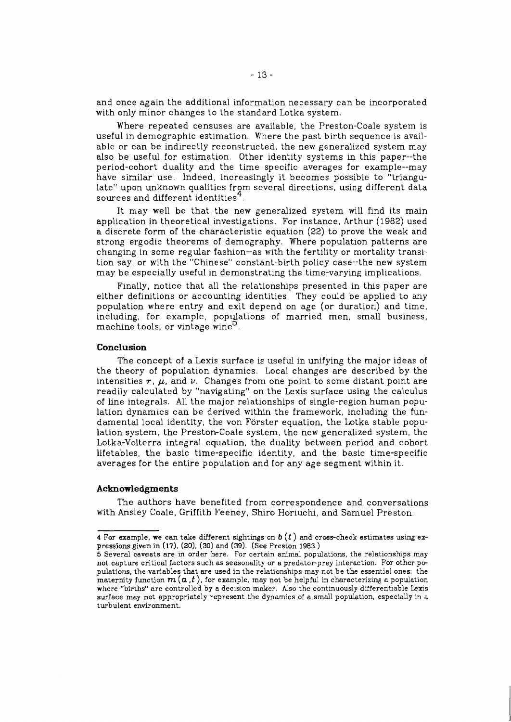and once again the additional information necessary can be incorporated with only minor changes to the standard Lotka system.

Where repeated censuses are available, the Preston-Coale system is useful in demographic estimation. Where the past birth sequence is available or can be indirectly reconstructed, the new generalized system may also be useful for estimation. Other identity systems in this paper--the period-cohort duality and the time specific averages for example--may have similar use. Indeed, increasingly it becomes possible to "triangulate" upon unknown qualities from several directions, using different data sources and different identities $4$ .

It may well be that the new generalized system will find its main application in theoretical investigations. For instance, Arthur (1982) used a discrete form of the characteristic equation **(22)** to prove the weak and strong ergodic theorems of demography. Where population patterns are changing in some regular fashon--as with the fertility or mortality transition say, or with the "Chinese" constant-birth policy case--the new system may be especially useful in demonstrating the time-varying implications.

Finally, notice that all the relationships presented in this paper are either definitions or accounting identities. They could be applied to any population where entry and exit depend on age (or duration) and time, including, for example, populations of married men, small business, machine tools, or vintage wine<sup>D</sup>.

#### **Conclusion**

The concept of a Lexis surface is useful in unifying the major ideas of the theory of population dynamics. Local changes are described by the intensities  $r$ ,  $\mu$ , and  $\nu$ . Changes from one point to some distant point are readily calculated by "navigating" on the Lexis surface using the calculus of line integrals. All the major relationships of single-region human population dynamics can be derived withn the framework, including the fundamental local identity, the von Förster equation, the Lotka stable population system, the Preston-Coale system, the new generalized system, the Lotka-Volterra integral equation, the duality between period and cohort lifetables, the basic time-specific identity, and the basic time-specific averages for the entire population and for any age segment within it.

#### **Acknowledgments**

The authors have benefited from correspondence and conversations with Ansley Coale, Griffith Feeney, Shro Horiuchi, and Samuel Preston.

**<sup>4</sup>** For example, we can take different sightings on  $b(t)$  and cross-check estimates using expressions given in **(17), (20), (30)** and **(39).** (See Preston **1983.)** 

**<sup>5</sup>** Severel caveats are in order here. For certain animal populations, the relationshps may not capture critical factors such as seasonality or a predator-prey interaction. For other pe pulatiom, the variables that are used in the relationshps may not be the essential ones: the maternity function  $m(a,t)$ , for example, may not be helpful in characterizing a population where "births" are controlled by a decision maker. Also the continuously differentiable Lexis surface may not appropriately represent the dynamics of a small population, especially in a turbulent environment.